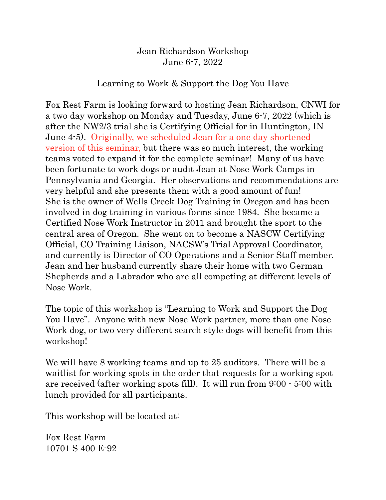Jean Richardson Workshop June 6-7, 2022

## Learning to Work & Support the Dog You Have

Fox Rest Farm is looking forward to hosting Jean Richardson, CNWI for a two day workshop on Monday and Tuesday, June 6-7, 2022 (which is after the NW2/3 trial she is Certifying Official for in Huntington, IN June 4-5). Originally, we scheduled Jean for a one day shortened version of this seminar, but there was so much interest, the working teams voted to expand it for the complete seminar! Many of us have been fortunate to work dogs or audit Jean at Nose Work Camps in Pennsylvania and Georgia. Her observations and recommendations are very helpful and she presents them with a good amount of fun! She is the owner of Wells Creek Dog Training in Oregon and has been involved in dog training in various forms since 1984. She became a Certified Nose Work Instructor in 2011 and brought the sport to the central area of Oregon. She went on to become a NASCW Certifying Official, CO Training Liaison, NACSW's Trial Approval Coordinator, and currently is Director of CO Operations and a Senior Staff member. Jean and her husband currently share their home with two German Shepherds and a Labrador who are all competing at different levels of Nose Work.

The topic of this workshop is "Learning to Work and Support the Dog You Have". Anyone with new Nose Work partner, more than one Nose Work dog, or two very different search style dogs will benefit from this workshop!

We will have 8 working teams and up to 25 auditors. There will be a waitlist for working spots in the order that requests for a working spot are received (after working spots fill). It will run from 9:00 - 5:00 with lunch provided for all participants.

This workshop will be located at:

Fox Rest Farm 10701 S 400 E-92